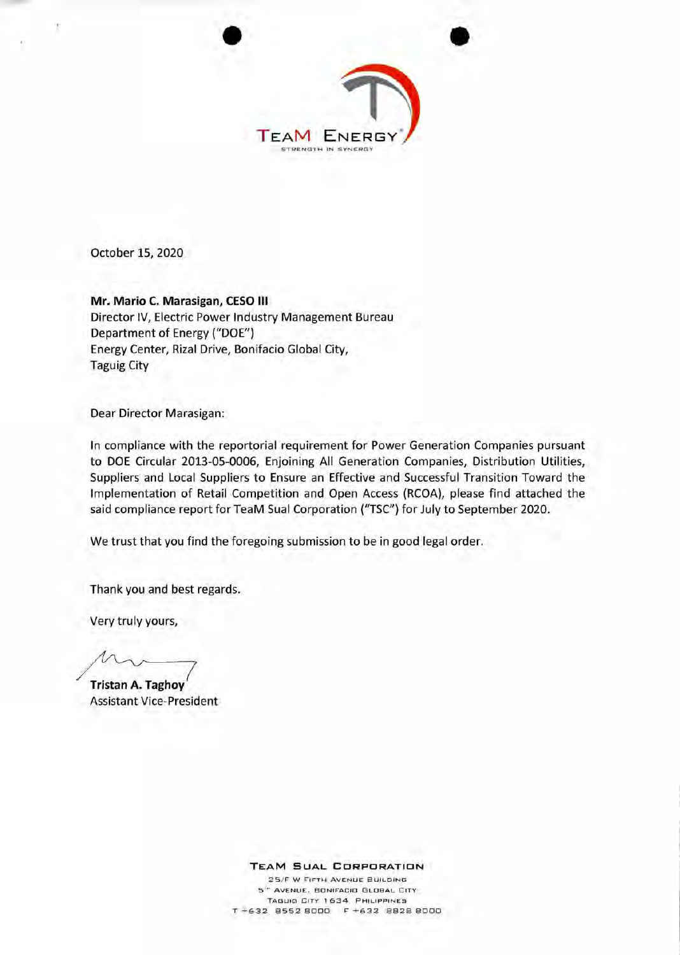

October 15, 2020

**Mr. Mario C. Marasigan, CESO III**  Director IV, Electric Power Industry Management Bureau Department of Energy ("DOE") Energy Center, Rizal Drive, Bonifacio Global City, Taguig City

Dear Director Marasigan:

In compliance with the reportorial requirement for Power Generation Companies pursuant to DOE Circular 2013-05-0006, Enjoining All Generation Companies, Distribution Utilities, Suppliers and Local Suppliers to Ensure an Effective and Successful Transition Toward the Implementation of Retail Competition and Open Access (RCOA), please find attached the said compliance report for TeaM Sual Corporation ("TSC") for July to September 2020.

We trust that you find the foregoing submission to be in good legal order.

Thank you and best regards.

Very truly yours,

 $\overline{7}$ 

**Tristan A. Taghoy**  Assistant Vice-President

**TEAM SUAL CORPORATION** 

25/F W FIFTH AVENUE BUILDING 5". AVENUE, BONIFACID GLOBAL CITY TAGUIG CITY 1634 PHILIPPINES T +632 8552 8000 F +632 8828 8000